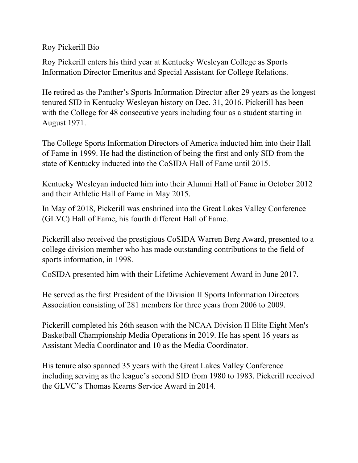Roy Pickerill Bio

Roy Pickerill enters his third year at Kentucky Wesleyan College as Sports Information Director Emeritus and Special Assistant for College Relations.

He retired as the Panther's Sports Information Director after 29 years as the longest tenured SID in Kentucky Wesleyan history on Dec. 31, 2016. Pickerill has been with the College for 48 consecutive years including four as a student starting in August 1971.

The College Sports Information Directors of America inducted him into their Hall of Fame in 1999. He had the distinction of being the first and only SID from the state of Kentucky inducted into the CoSIDA Hall of Fame until 2015.

Kentucky Wesleyan inducted him into their Alumni Hall of Fame in October 2012 and their Athletic Hall of Fame in May 2015.

In May of 2018, Pickerill was enshrined into the Great Lakes Valley Conference (GLVC) Hall of Fame, his fourth different Hall of Fame.

Pickerill also received the prestigious CoSIDA Warren Berg Award, presented to a college division member who has made outstanding contributions to the field of sports information, in 1998.

CoSIDA presented him with their Lifetime Achievement Award in June 2017.

He served as the first President of the Division II Sports Information Directors Association consisting of 281 members for three years from 2006 to 2009.

Pickerill completed his 26th season with the NCAA Division II Elite Eight Men's Basketball Championship Media Operations in 2019. He has spent 16 years as Assistant Media Coordinator and 10 as the Media Coordinator.

His tenure also spanned 35 years with the Great Lakes Valley Conference including serving as the league's second SID from 1980 to 1983. Pickerill received the GLVC's Thomas Kearns Service Award in 2014.